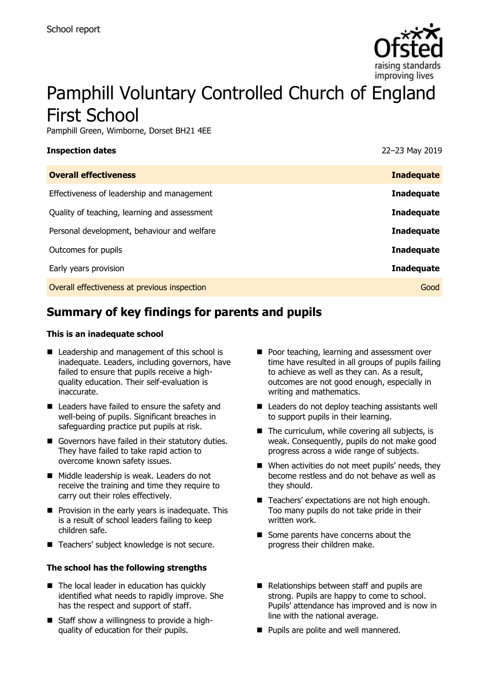

# Pamphill Voluntary Controlled Church of England First School

Pamphill Green, Wimborne, Dorset BH21 4EE

| <b>Inspection dates</b>                      | 22-23 May 2019    |
|----------------------------------------------|-------------------|
| <b>Overall effectiveness</b>                 | <b>Inadequate</b> |
| Effectiveness of leadership and management   | <b>Inadequate</b> |
| Quality of teaching, learning and assessment | <b>Inadequate</b> |
| Personal development, behaviour and welfare  | <b>Inadequate</b> |
| Outcomes for pupils                          | <b>Inadequate</b> |
| Early years provision                        | <b>Inadequate</b> |
| Overall effectiveness at previous inspection | Good              |
|                                              |                   |

# **Summary of key findings for parents and pupils**

#### **This is an inadequate school**

- Leadership and management of this school is inadequate. Leaders, including governors, have failed to ensure that pupils receive a highquality education. Their self-evaluation is inaccurate.
- Leaders have failed to ensure the safety and well-being of pupils. Significant breaches in safeguarding practice put pupils at risk.
- Governors have failed in their statutory duties. They have failed to take rapid action to overcome known safety issues.
- Middle leadership is weak. Leaders do not receive the training and time they require to carry out their roles effectively.
- Provision in the early years is inadequate. This is a result of school leaders failing to keep children safe.
- Teachers' subject knowledge is not secure.

#### **The school has the following strengths**

- The local leader in education has quickly identified what needs to rapidly improve. She has the respect and support of staff.
- Staff show a willingness to provide a highquality of education for their pupils.
- Poor teaching, learning and assessment over time have resulted in all groups of pupils failing to achieve as well as they can. As a result, outcomes are not good enough, especially in writing and mathematics.
- Leaders do not deploy teaching assistants well to support pupils in their learning.
- The curriculum, while covering all subjects, is weak. Consequently, pupils do not make good progress across a wide range of subjects.
- When activities do not meet pupils' needs, they become restless and do not behave as well as they should.
- Teachers' expectations are not high enough. Too many pupils do not take pride in their written work.
- Some parents have concerns about the progress their children make.
- Relationships between staff and pupils are strong. Pupils are happy to come to school. Pupils' attendance has improved and is now in line with the national average.
- Pupils are polite and well mannered.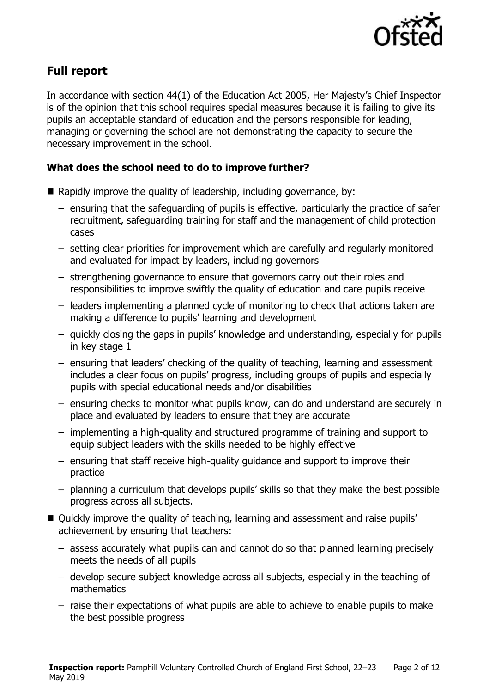

## **Full report**

In accordance with section 44(1) of the Education Act 2005, Her Majesty's Chief Inspector is of the opinion that this school requires special measures because it is failing to give its pupils an acceptable standard of education and the persons responsible for leading, managing or governing the school are not demonstrating the capacity to secure the necessary improvement in the school.

### **What does the school need to do to improve further?**

- Rapidly improve the quality of leadership, including governance, by:
	- ensuring that the safeguarding of pupils is effective, particularly the practice of safer recruitment, safeguarding training for staff and the management of child protection cases
	- setting clear priorities for improvement which are carefully and regularly monitored and evaluated for impact by leaders, including governors
	- strengthening governance to ensure that governors carry out their roles and responsibilities to improve swiftly the quality of education and care pupils receive
	- leaders implementing a planned cycle of monitoring to check that actions taken are making a difference to pupils' learning and development
	- quickly closing the gaps in pupils' knowledge and understanding, especially for pupils in key stage 1
	- ensuring that leaders' checking of the quality of teaching, learning and assessment includes a clear focus on pupils' progress, including groups of pupils and especially pupils with special educational needs and/or disabilities
	- ensuring checks to monitor what pupils know, can do and understand are securely in place and evaluated by leaders to ensure that they are accurate
	- implementing a high-quality and structured programme of training and support to equip subject leaders with the skills needed to be highly effective
	- ensuring that staff receive high-quality guidance and support to improve their practice
	- planning a curriculum that develops pupils' skills so that they make the best possible progress across all subjects.
- Ouickly improve the quality of teaching, learning and assessment and raise pupils' achievement by ensuring that teachers:
	- assess accurately what pupils can and cannot do so that planned learning precisely meets the needs of all pupils
	- develop secure subject knowledge across all subjects, especially in the teaching of mathematics
	- raise their expectations of what pupils are able to achieve to enable pupils to make the best possible progress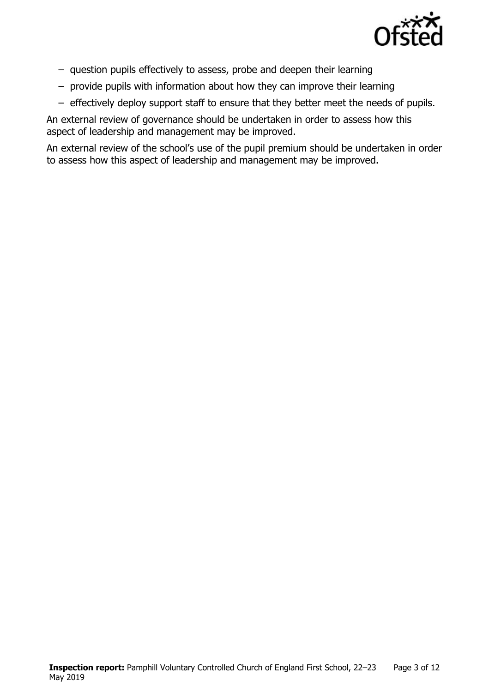

- question pupils effectively to assess, probe and deepen their learning
- provide pupils with information about how they can improve their learning
- effectively deploy support staff to ensure that they better meet the needs of pupils.

An external review of governance should be undertaken in order to assess how this aspect of leadership and management may be improved.

An external review of the school's use of the pupil premium should be undertaken in order to assess how this aspect of leadership and management may be improved.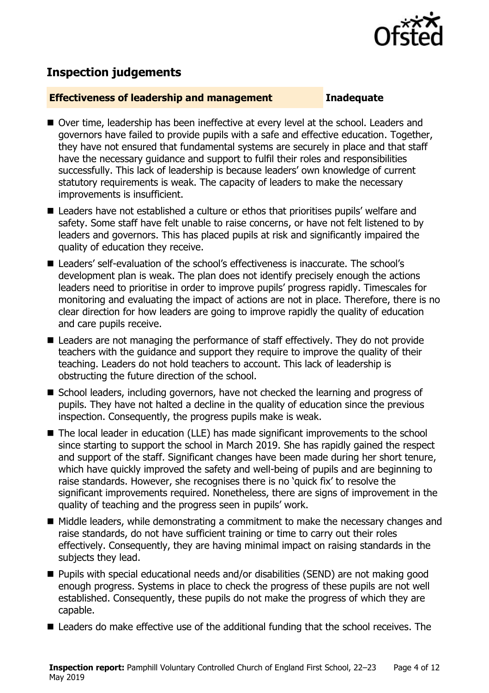

# **Inspection judgements**

#### **Effectiveness of leadership and management Inadequate**

- Over time, leadership has been ineffective at every level at the school. Leaders and governors have failed to provide pupils with a safe and effective education. Together, they have not ensured that fundamental systems are securely in place and that staff have the necessary guidance and support to fulfil their roles and responsibilities successfully. This lack of leadership is because leaders' own knowledge of current statutory requirements is weak. The capacity of leaders to make the necessary improvements is insufficient.
- Leaders have not established a culture or ethos that prioritises pupils' welfare and safety. Some staff have felt unable to raise concerns, or have not felt listened to by leaders and governors. This has placed pupils at risk and significantly impaired the quality of education they receive.
- Leaders' self-evaluation of the school's effectiveness is inaccurate. The school's development plan is weak. The plan does not identify precisely enough the actions leaders need to prioritise in order to improve pupils' progress rapidly. Timescales for monitoring and evaluating the impact of actions are not in place. Therefore, there is no clear direction for how leaders are going to improve rapidly the quality of education and care pupils receive.
- Leaders are not managing the performance of staff effectively. They do not provide teachers with the guidance and support they require to improve the quality of their teaching. Leaders do not hold teachers to account. This lack of leadership is obstructing the future direction of the school.
- School leaders, including governors, have not checked the learning and progress of pupils. They have not halted a decline in the quality of education since the previous inspection. Consequently, the progress pupils make is weak.
- The local leader in education (LLE) has made significant improvements to the school since starting to support the school in March 2019. She has rapidly gained the respect and support of the staff. Significant changes have been made during her short tenure, which have quickly improved the safety and well-being of pupils and are beginning to raise standards. However, she recognises there is no 'quick fix' to resolve the significant improvements required. Nonetheless, there are signs of improvement in the quality of teaching and the progress seen in pupils' work.
- Middle leaders, while demonstrating a commitment to make the necessary changes and raise standards, do not have sufficient training or time to carry out their roles effectively. Consequently, they are having minimal impact on raising standards in the subjects they lead.
- Pupils with special educational needs and/or disabilities (SEND) are not making good enough progress. Systems in place to check the progress of these pupils are not well established. Consequently, these pupils do not make the progress of which they are capable.
- Leaders do make effective use of the additional funding that the school receives. The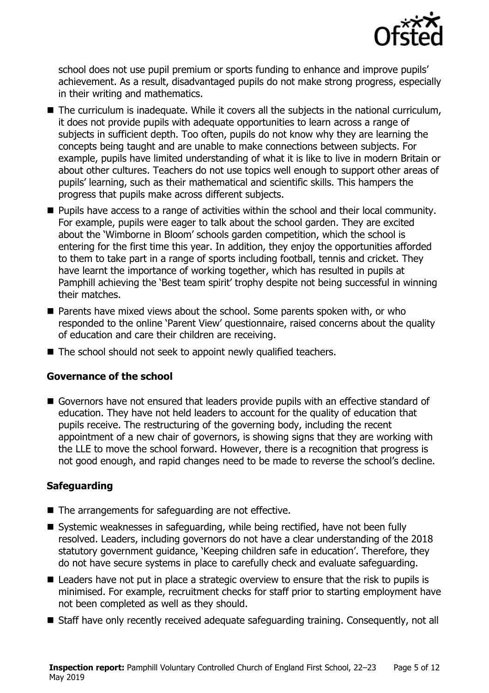

school does not use pupil premium or sports funding to enhance and improve pupils' achievement. As a result, disadvantaged pupils do not make strong progress, especially in their writing and mathematics.

- The curriculum is inadequate. While it covers all the subjects in the national curriculum, it does not provide pupils with adequate opportunities to learn across a range of subjects in sufficient depth. Too often, pupils do not know why they are learning the concepts being taught and are unable to make connections between subjects. For example, pupils have limited understanding of what it is like to live in modern Britain or about other cultures. Teachers do not use topics well enough to support other areas of pupils' learning, such as their mathematical and scientific skills. This hampers the progress that pupils make across different subjects.
- Pupils have access to a range of activities within the school and their local community. For example, pupils were eager to talk about the school garden. They are excited about the 'Wimborne in Bloom' schools garden competition, which the school is entering for the first time this year. In addition, they enjoy the opportunities afforded to them to take part in a range of sports including football, tennis and cricket. They have learnt the importance of working together, which has resulted in pupils at Pamphill achieving the 'Best team spirit' trophy despite not being successful in winning their matches.
- Parents have mixed views about the school. Some parents spoken with, or who responded to the online 'Parent View' questionnaire, raised concerns about the quality of education and care their children are receiving.
- The school should not seek to appoint newly qualified teachers.

### **Governance of the school**

■ Governors have not ensured that leaders provide pupils with an effective standard of education. They have not held leaders to account for the quality of education that pupils receive. The restructuring of the governing body, including the recent appointment of a new chair of governors, is showing signs that they are working with the LLE to move the school forward. However, there is a recognition that progress is not good enough, and rapid changes need to be made to reverse the school's decline.

### **Safeguarding**

- The arrangements for safeguarding are not effective.
- Systemic weaknesses in safeguarding, while being rectified, have not been fully resolved. Leaders, including governors do not have a clear understanding of the 2018 statutory government guidance, 'Keeping children safe in education'. Therefore, they do not have secure systems in place to carefully check and evaluate safeguarding.
- Leaders have not put in place a strategic overview to ensure that the risk to pupils is minimised. For example, recruitment checks for staff prior to starting employment have not been completed as well as they should.
- Staff have only recently received adequate safeguarding training. Consequently, not all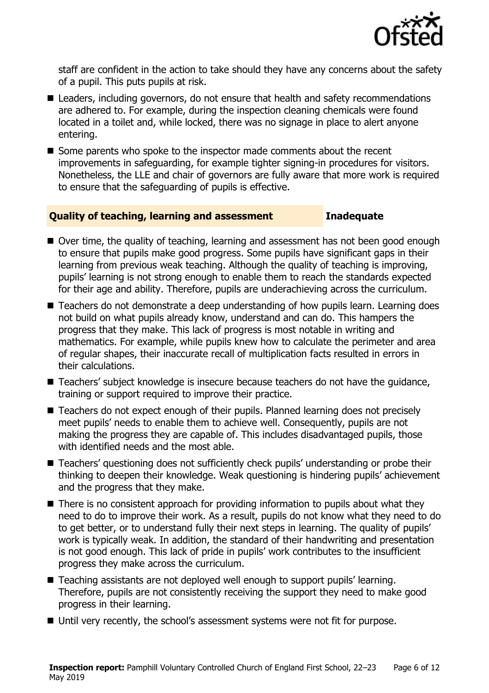

staff are confident in the action to take should they have any concerns about the safety of a pupil. This puts pupils at risk.

- Leaders, including governors, do not ensure that health and safety recommendations are adhered to. For example, during the inspection cleaning chemicals were found located in a toilet and, while locked, there was no signage in place to alert anyone entering.
- Some parents who spoke to the inspector made comments about the recent improvements in safeguarding, for example tighter signing-in procedures for visitors. Nonetheless, the LLE and chair of governors are fully aware that more work is required to ensure that the safeguarding of pupils is effective.

#### **Quality of teaching, learning and assessment Inadequate**

- Over time, the quality of teaching, learning and assessment has not been good enough to ensure that pupils make good progress. Some pupils have significant gaps in their learning from previous weak teaching. Although the quality of teaching is improving, pupils' learning is not strong enough to enable them to reach the standards expected for their age and ability. Therefore, pupils are underachieving across the curriculum.
- Teachers do not demonstrate a deep understanding of how pupils learn. Learning does not build on what pupils already know, understand and can do. This hampers the progress that they make. This lack of progress is most notable in writing and mathematics. For example, while pupils knew how to calculate the perimeter and area of regular shapes, their inaccurate recall of multiplication facts resulted in errors in their calculations.
- Teachers' subject knowledge is insecure because teachers do not have the quidance, training or support required to improve their practice.
- Teachers do not expect enough of their pupils. Planned learning does not precisely meet pupils' needs to enable them to achieve well. Consequently, pupils are not making the progress they are capable of. This includes disadvantaged pupils, those with identified needs and the most able.
- Teachers' questioning does not sufficiently check pupils' understanding or probe their thinking to deepen their knowledge. Weak questioning is hindering pupils' achievement and the progress that they make.
- There is no consistent approach for providing information to pupils about what they need to do to improve their work. As a result, pupils do not know what they need to do to get better, or to understand fully their next steps in learning. The quality of pupils' work is typically weak. In addition, the standard of their handwriting and presentation is not good enough. This lack of pride in pupils' work contributes to the insufficient progress they make across the curriculum.
- Teaching assistants are not deployed well enough to support pupils' learning. Therefore, pupils are not consistently receiving the support they need to make good progress in their learning.
- Until very recently, the school's assessment systems were not fit for purpose.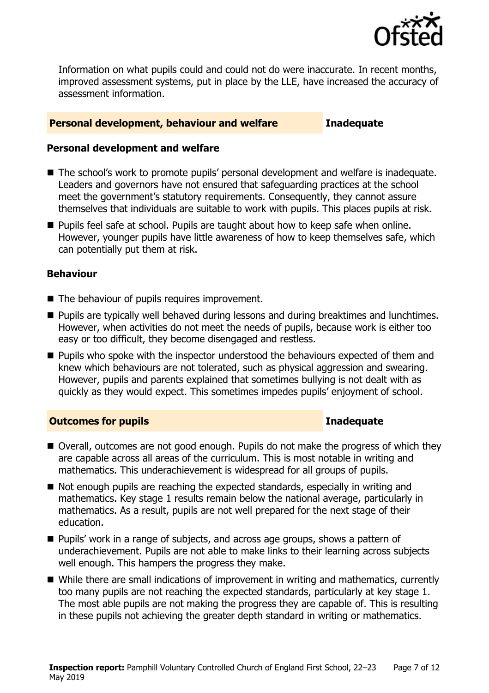

Information on what pupils could and could not do were inaccurate. In recent months, improved assessment systems, put in place by the LLE, have increased the accuracy of assessment information.

#### **Personal development, behaviour and welfare Inadequate**

#### **Personal development and welfare**

- The school's work to promote pupils' personal development and welfare is inadequate. Leaders and governors have not ensured that safeguarding practices at the school meet the government's statutory requirements. Consequently, they cannot assure themselves that individuals are suitable to work with pupils. This places pupils at risk.
- Pupils feel safe at school. Pupils are taught about how to keep safe when online. However, younger pupils have little awareness of how to keep themselves safe, which can potentially put them at risk.

### **Behaviour**

- The behaviour of pupils requires improvement.
- Pupils are typically well behaved during lessons and during breaktimes and lunchtimes. However, when activities do not meet the needs of pupils, because work is either too easy or too difficult, they become disengaged and restless.
- Pupils who spoke with the inspector understood the behaviours expected of them and knew which behaviours are not tolerated, such as physical aggression and swearing. However, pupils and parents explained that sometimes bullying is not dealt with as quickly as they would expect. This sometimes impedes pupils' enjoyment of school.

### **Outcomes for pupils Inadequate**

- Overall, outcomes are not good enough. Pupils do not make the progress of which they are capable across all areas of the curriculum. This is most notable in writing and mathematics. This underachievement is widespread for all groups of pupils.
- Not enough pupils are reaching the expected standards, especially in writing and mathematics. Key stage 1 results remain below the national average, particularly in mathematics. As a result, pupils are not well prepared for the next stage of their education.
- Pupils' work in a range of subjects, and across age groups, shows a pattern of underachievement. Pupils are not able to make links to their learning across subjects well enough. This hampers the progress they make.
- While there are small indications of improvement in writing and mathematics, currently too many pupils are not reaching the expected standards, particularly at key stage 1. The most able pupils are not making the progress they are capable of. This is resulting in these pupils not achieving the greater depth standard in writing or mathematics.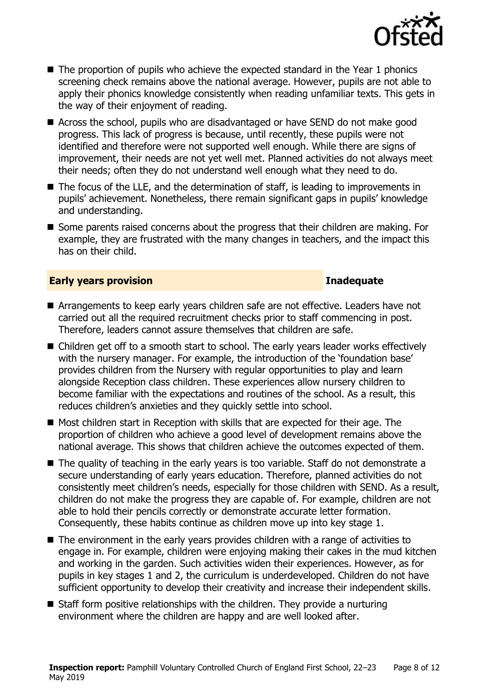

- The proportion of pupils who achieve the expected standard in the Year 1 phonics screening check remains above the national average. However, pupils are not able to apply their phonics knowledge consistently when reading unfamiliar texts. This gets in the way of their enjoyment of reading.
- Across the school, pupils who are disadvantaged or have SEND do not make good progress. This lack of progress is because, until recently, these pupils were not identified and therefore were not supported well enough. While there are signs of improvement, their needs are not yet well met. Planned activities do not always meet their needs; often they do not understand well enough what they need to do.
- The focus of the LLE, and the determination of staff, is leading to improvements in pupils' achievement. Nonetheless, there remain significant gaps in pupils' knowledge and understanding.
- Some parents raised concerns about the progress that their children are making. For example, they are frustrated with the many changes in teachers, and the impact this has on their child.

#### **Early years provision Inadequate**

- Arrangements to keep early years children safe are not effective. Leaders have not carried out all the required recruitment checks prior to staff commencing in post. Therefore, leaders cannot assure themselves that children are safe.
- Children get off to a smooth start to school. The early years leader works effectively with the nursery manager. For example, the introduction of the 'foundation base' provides children from the Nursery with regular opportunities to play and learn alongside Reception class children. These experiences allow nursery children to become familiar with the expectations and routines of the school. As a result, this reduces children's anxieties and they quickly settle into school.
- Most children start in Reception with skills that are expected for their age. The proportion of children who achieve a good level of development remains above the national average. This shows that children achieve the outcomes expected of them.
- The quality of teaching in the early years is too variable. Staff do not demonstrate a secure understanding of early years education. Therefore, planned activities do not consistently meet children's needs, especially for those children with SEND. As a result, children do not make the progress they are capable of. For example, children are not able to hold their pencils correctly or demonstrate accurate letter formation. Consequently, these habits continue as children move up into key stage 1.
- The environment in the early years provides children with a range of activities to engage in. For example, children were enjoying making their cakes in the mud kitchen and working in the garden. Such activities widen their experiences. However, as for pupils in key stages 1 and 2, the curriculum is underdeveloped. Children do not have sufficient opportunity to develop their creativity and increase their independent skills.
- Staff form positive relationships with the children. They provide a nurturing environment where the children are happy and are well looked after.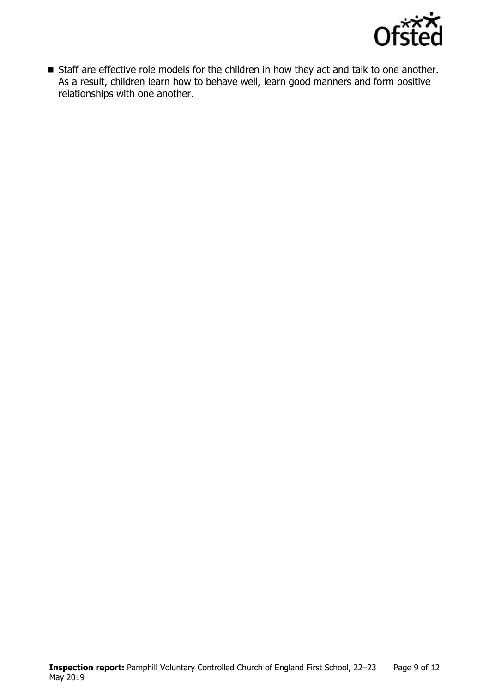

■ Staff are effective role models for the children in how they act and talk to one another. As a result, children learn how to behave well, learn good manners and form positive relationships with one another.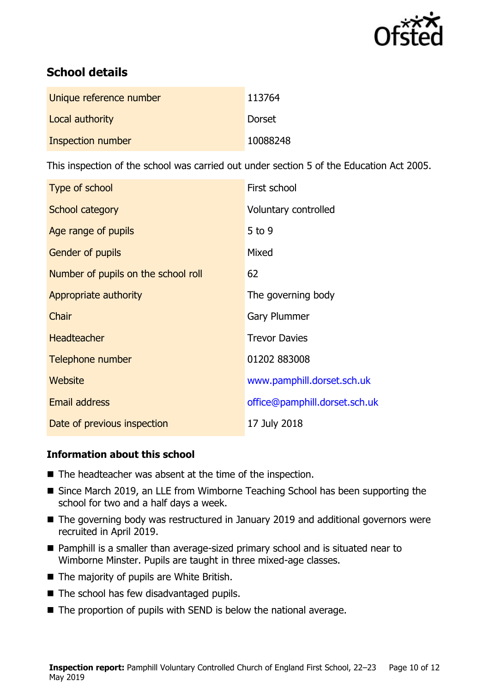

# **School details**

| Unique reference number | 113764   |
|-------------------------|----------|
| Local authority         | Dorset   |
| Inspection number       | 10088248 |

This inspection of the school was carried out under section 5 of the Education Act 2005.

| Type of school                      | First school                  |
|-------------------------------------|-------------------------------|
| School category                     | Voluntary controlled          |
| Age range of pupils                 | $5$ to 9                      |
| Gender of pupils                    | Mixed                         |
| Number of pupils on the school roll | 62                            |
| Appropriate authority               | The governing body            |
| Chair                               | Gary Plummer                  |
| <b>Headteacher</b>                  | <b>Trevor Davies</b>          |
| Telephone number                    | 01202 883008                  |
| <b>Website</b>                      | www.pamphill.dorset.sch.uk    |
| <b>Email address</b>                | office@pamphill.dorset.sch.uk |
| Date of previous inspection         | 17 July 2018                  |

### **Information about this school**

- The headteacher was absent at the time of the inspection.
- Since March 2019, an LLE from Wimborne Teaching School has been supporting the school for two and a half days a week.
- The governing body was restructured in January 2019 and additional governors were recruited in April 2019.
- Pamphill is a smaller than average-sized primary school and is situated near to Wimborne Minster. Pupils are taught in three mixed-age classes.
- The majority of pupils are White British.
- The school has few disadvantaged pupils.
- $\blacksquare$  The proportion of pupils with SEND is below the national average.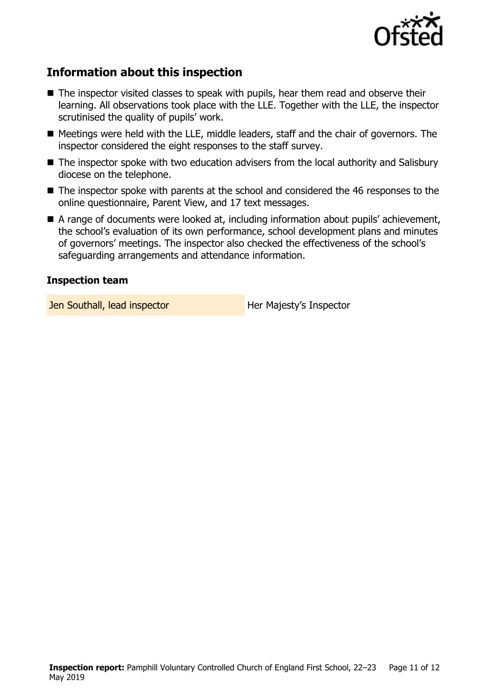

# **Information about this inspection**

- The inspector visited classes to speak with pupils, hear them read and observe their learning. All observations took place with the LLE. Together with the LLE, the inspector scrutinised the quality of pupils' work.
- Meetings were held with the LLE, middle leaders, staff and the chair of governors. The inspector considered the eight responses to the staff survey.
- The inspector spoke with two education advisers from the local authority and Salisbury diocese on the telephone.
- The inspector spoke with parents at the school and considered the 46 responses to the online questionnaire, Parent View, and 17 text messages.
- A range of documents were looked at, including information about pupils' achievement, the school's evaluation of its own performance, school development plans and minutes of governors' meetings. The inspector also checked the effectiveness of the school's safeguarding arrangements and attendance information.

#### **Inspection team**

**Jen Southall, lead inspector Southally Algebra 1.1 Her Majesty's Inspector**